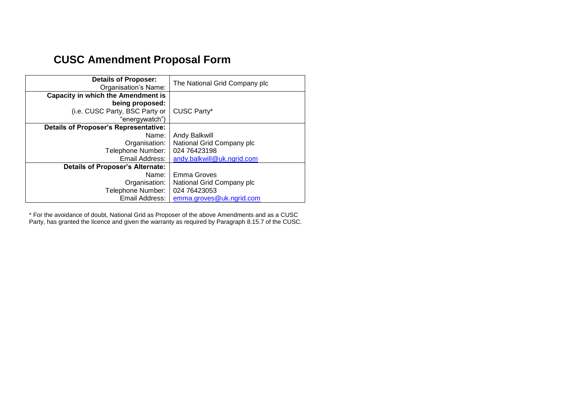## **CUSC Amendment Proposal Form**

| <b>Details of Proposer:</b><br>Organisation's Name: | The National Grid Company plc |
|-----------------------------------------------------|-------------------------------|
| <b>Capacity in which the Amendment is</b>           |                               |
| being proposed:                                     |                               |
| (i.e. CUSC Party, BSC Party or                      | <b>CUSC Party*</b>            |
| "energywatch")                                      |                               |
| <b>Details of Proposer's Representative:</b>        |                               |
| Name:                                               | <b>Andy Balkwill</b>          |
| Organisation:                                       | National Grid Company plc     |
| Telephone Number:                                   | 024 76423198                  |
| Email Address:                                      | andy.balkwill@uk.ngrid.com    |
| <b>Details of Proposer's Alternate:</b>             |                               |
| Name:                                               | Emma Groves                   |
| Organisation:                                       | National Grid Company plc     |
| Telephone Number:                                   | 024 76423053                  |
| Email Address:                                      | emma.groves@uk.ngrid.com      |

\* For the avoidance of doubt, National Grid as Proposer of the above Amendments and as a CUSC Party, has granted the licence and given the warranty as required by Paragraph 8.15.7 of the CUSC.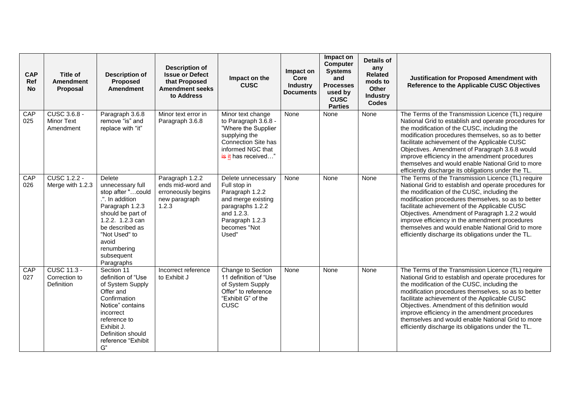| <b>CAP</b><br>Ref<br><b>No</b> | Title of<br><b>Amendment</b><br>Proposal              | <b>Description of</b><br><b>Proposed</b><br><b>Amendment</b>                                                                                                                                                                  | <b>Description of</b><br><b>Issue or Defect</b><br>that Proposed<br><b>Amendment seeks</b><br>to Address | Impact on the<br><b>CUSC</b>                                                                                                                                | Impact on<br>Core<br><b>Industry</b><br><b>Documents</b> | Impact on<br><b>Computer</b><br><b>Systems</b><br>and<br><b>Processes</b><br>used by<br><b>CUSC</b><br><b>Parties</b> | <b>Details of</b><br>any<br><b>Related</b><br>mods to<br>Other<br><b>Industry</b><br><b>Codes</b> | <b>Justification for Proposed Amendment with</b><br>Reference to the Applicable CUSC Objectives                                                                                                                                                                                                                                                                                                                                                                                    |
|--------------------------------|-------------------------------------------------------|-------------------------------------------------------------------------------------------------------------------------------------------------------------------------------------------------------------------------------|----------------------------------------------------------------------------------------------------------|-------------------------------------------------------------------------------------------------------------------------------------------------------------|----------------------------------------------------------|-----------------------------------------------------------------------------------------------------------------------|---------------------------------------------------------------------------------------------------|------------------------------------------------------------------------------------------------------------------------------------------------------------------------------------------------------------------------------------------------------------------------------------------------------------------------------------------------------------------------------------------------------------------------------------------------------------------------------------|
| CAP<br>025                     | <b>CUSC 3.6.8 -</b><br><b>Minor Text</b><br>Amendment | Paragraph 3.6.8<br>remove "is" and<br>replace with "it"                                                                                                                                                                       | Minor text error in<br>Paragraph 3.6.8                                                                   | Minor text change<br>to Paragraph 3.6.8 -<br>"Where the Supplier<br>supplying the<br><b>Connection Site has</b><br>informed NGC that<br>is it has received" | None                                                     | None                                                                                                                  | None                                                                                              | The Terms of the Transmission Licence (TL) require<br>National Grid to establish and operate procedures for<br>the modification of the CUSC, including the<br>modification procedures themselves, so as to better<br>facilitate achievement of the Applicable CUSC<br>Objectives. Amendment of Paragraph 3.6.8 would<br>improve efficiency in the amendment procedures<br>themselves and would enable National Grid to more<br>efficiently discharge its obligations under the TL. |
| CAP<br>026                     | <b>CUSC 1.2.2 -</b><br>Merge with 1.2.3               | <b>Delete</b><br>unnecessary full<br>stop after "could<br>.". In addition<br>Paragraph 1.2.3<br>should be part of<br>1.2.2. 1.2.3 can<br>be described as<br>"Not Used" to<br>avoid<br>renumbering<br>subsequent<br>Paragraphs | Paragraph 1.2.2<br>ends mid-word and<br>erroneously begins<br>new paragraph<br>1.2.3                     | Delete unnecessary<br>Full stop in<br>Paragraph 1.2.2<br>and merge existing<br>paragraphs 1.2.2<br>and 1.2.3.<br>Paragraph 1.2.3<br>becomes "Not<br>Used"   | None                                                     | None                                                                                                                  | None                                                                                              | The Terms of the Transmission Licence (TL) require<br>National Grid to establish and operate procedures for<br>the modification of the CUSC, including the<br>modification procedures themselves, so as to better<br>facilitate achievement of the Applicable CUSC<br>Objectives. Amendment of Paragraph 1.2.2 would<br>improve efficiency in the amendment procedures<br>themselves and would enable National Grid to more<br>efficiently discharge its obligations under the TL. |
| CAP<br>027                     | <b>CUSC 11.3 -</b><br>Correction to<br>Definition     | Section 11<br>definition of "Use<br>of System Supply<br>Offer and<br>Confirmation<br>Notice" contains<br>incorrect<br>reference to<br>Exhibit J.<br>Definition should<br>reference "Exhibit<br>G''                            | Incorrect reference<br>to Exhibit J                                                                      | Change to Section<br>11 definition of "Use<br>of System Supply<br>Offer" to reference<br>"Exhibit G" of the<br><b>CUSC</b>                                  | None                                                     | None                                                                                                                  | None                                                                                              | The Terms of the Transmission Licence (TL) require<br>National Grid to establish and operate procedures for<br>the modification of the CUSC, including the<br>modification procedures themselves, so as to better<br>facilitate achievement of the Applicable CUSC<br>Objectives. Amendment of this definition would<br>improve efficiency in the amendment procedures<br>themselves and would enable National Grid to more<br>efficiently discharge its obligations under the TL. |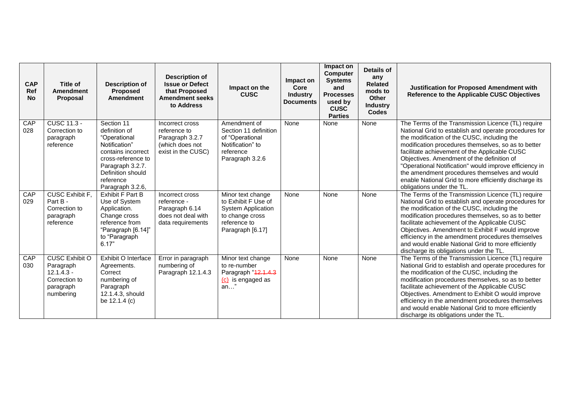| <b>CAP</b><br><b>Ref</b><br><b>No</b> | <b>Title of</b><br><b>Amendment</b><br>Proposal                                               | <b>Description of</b><br><b>Proposed</b><br><b>Amendment</b>                                                                                                                       | <b>Description of</b><br><b>Issue or Defect</b><br>that Proposed<br><b>Amendment seeks</b><br>to Address | Impact on the<br><b>CUSC</b>                                                                                                 | Impact on<br>Core<br><b>Industry</b><br><b>Documents</b> | Impact on<br><b>Computer</b><br><b>Systems</b><br>and<br><b>Processes</b><br>used by<br><b>CUSC</b><br><b>Parties</b> | Details of<br>any<br><b>Related</b><br>mods to<br>Other<br><b>Industry</b><br><b>Codes</b> | Justification for Proposed Amendment with<br>Reference to the Applicable CUSC Objectives                                                                                                                                                                                                                                                                                                                                                                                                                           |
|---------------------------------------|-----------------------------------------------------------------------------------------------|------------------------------------------------------------------------------------------------------------------------------------------------------------------------------------|----------------------------------------------------------------------------------------------------------|------------------------------------------------------------------------------------------------------------------------------|----------------------------------------------------------|-----------------------------------------------------------------------------------------------------------------------|--------------------------------------------------------------------------------------------|--------------------------------------------------------------------------------------------------------------------------------------------------------------------------------------------------------------------------------------------------------------------------------------------------------------------------------------------------------------------------------------------------------------------------------------------------------------------------------------------------------------------|
| CAP<br>028                            | <b>CUSC 11.3 -</b><br>Correction to<br>paragraph<br>reference                                 | Section 11<br>definition of<br>"Operational<br>Notification"<br>contains incorrect<br>cross-reference to<br>Paragraph 3.2.7.<br>Definition should<br>reference<br>Paragraph 3.2.6, | Incorrect cross<br>reference to<br>Paragraph 3.2.7<br>(which does not<br>exist in the CUSC)              | Amendment of<br>Section 11 definition<br>of "Operational<br>Notification" to<br>reference<br>Paragraph 3.2.6                 | None                                                     | None                                                                                                                  | None                                                                                       | The Terms of the Transmission Licence (TL) require<br>National Grid to establish and operate procedures for<br>the modification of the CUSC, including the<br>modification procedures themselves, so as to better<br>facilitate achievement of the Applicable CUSC<br>Objectives. Amendment of the definition of<br>"Operational Notification" would improve efficiency in<br>the amendment procedures themselves and would<br>enable National Grid to more efficiently discharge its<br>obligations under the TL. |
| CAP<br>029                            | <b>CUSC Exhibit F.</b><br>Part B -<br>Correction to<br>paragraph<br>reference                 | Exhibit F Part B<br>Use of System<br>Application.<br>Change cross<br>reference from<br>"Paragraph [6.14]"<br>to "Paragraph<br>6.17"                                                | Incorrect cross<br>reference -<br>Paragraph 6.14<br>does not deal with<br>data requirements              | Minor text change<br>to Exhibit F Use of<br><b>System Application</b><br>to change cross<br>reference to<br>Paragraph [6.17] | None                                                     | None                                                                                                                  | None                                                                                       | The Terms of the Transmission Licence (TL) require<br>National Grid to establish and operate procedures for<br>the modification of the CUSC, including the<br>modification procedures themselves, so as to better<br>facilitate achievement of the Applicable CUSC<br>Objectives. Amendment to Exhibit F would improve<br>efficiency in the amendment procedures themselves<br>and would enable National Grid to more efficiently<br>discharge its obligations under the TL.                                       |
| CAP<br>030                            | <b>CUSC Exhibit O</b><br>Paragraph<br>$12.1.4.3 -$<br>Correction to<br>paragraph<br>numbering | Exhibit O Interface<br>Agreements.<br>Correct<br>numbering of<br>Paragraph<br>12.1.4.3, should<br>be 12.1.4 (c)                                                                    | Error in paragraph<br>numbering of<br>Paragraph 12.1.4.3                                                 | Minor text change<br>to re-number<br>Paragraph "42.1.4.3<br>(c) is engaged as<br>an'                                         | None                                                     | None                                                                                                                  | None                                                                                       | The Terms of the Transmission Licence (TL) require<br>National Grid to establish and operate procedures for<br>the modification of the CUSC, including the<br>modification procedures themselves, so as to better<br>facilitate achievement of the Applicable CUSC<br>Objectives. Amendment to Exhibit O would improve<br>efficiency in the amendment procedures themselves<br>and would enable National Grid to more efficiently<br>discharge its obligations under the TL.                                       |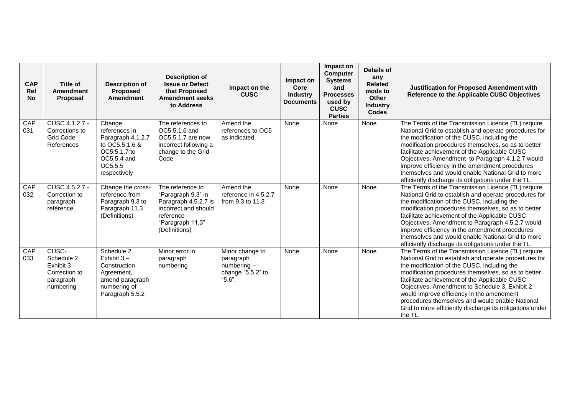| <b>CAP</b><br>Ref<br><b>No</b> | Title of<br><b>Amendment</b><br>Proposal                                       | <b>Description of</b><br><b>Proposed</b><br><b>Amendment</b>                                                             | <b>Description of</b><br><b>Issue or Defect</b><br>that Proposed<br><b>Amendment seeks</b><br>to Address                                 | Impact on the<br><b>CUSC</b>                                                 | Impact on<br>Core<br><b>Industry</b><br><b>Documents</b> | Impact on<br><b>Computer</b><br><b>Systems</b><br>and<br><b>Processes</b><br>used by<br><b>CUSC</b><br><b>Parties</b> | Details of<br>any<br><b>Related</b><br>mods to<br>Other<br><b>Industry</b><br><b>Codes</b> | Justification for Proposed Amendment with<br>Reference to the Applicable CUSC Objectives                                                                                                                                                                                                                                                                                                                                                                                                    |
|--------------------------------|--------------------------------------------------------------------------------|--------------------------------------------------------------------------------------------------------------------------|------------------------------------------------------------------------------------------------------------------------------------------|------------------------------------------------------------------------------|----------------------------------------------------------|-----------------------------------------------------------------------------------------------------------------------|--------------------------------------------------------------------------------------------|---------------------------------------------------------------------------------------------------------------------------------------------------------------------------------------------------------------------------------------------------------------------------------------------------------------------------------------------------------------------------------------------------------------------------------------------------------------------------------------------|
| CAP<br>031                     | CUSC 4.1.2.7 -<br>Corrections to<br><b>Grid Code</b><br>References             | Change<br>references in<br>Paragraph 4.1.2.7<br>to OC5.5.1.6 &<br>OC5.5.1.7 to<br>OC5.5.4 and<br>OC5.5.5<br>respectively | The references to<br>OC5.5.1.6 and<br>OC5.5.1.7 are now<br>incorrect following a<br>change to the Grid<br>Code                           | Amend the<br>references to OC5<br>as indicated.                              | None                                                     | None                                                                                                                  | None                                                                                       | The Terms of the Transmission Licence (TL) require<br>National Grid to establish and operate procedures for<br>the modification of the CUSC, including the<br>modification procedures themselves, so as to better<br>facilitate achievement of the Applicable CUSC<br>Objectives. Amendment to Paragraph 4.1.2.7 would<br>improve efficiency in the amendment procedures<br>themselves and would enable National Grid to more<br>efficiently discharge its obligations under the TL.        |
| CAP<br>032                     | CUSC 4.5.2.7 -<br>Correction to<br>paragraph<br>reference                      | Change the cross-<br>reference from<br>Paragraph 9.3 to<br>Paragraph 11.3<br>(Definitions)                               | The reference to<br>"Paragraph 9.3" in<br>Paragraph 4.5.2.7 is<br>incorrect and should<br>reference<br>"Paragraph 11.3"<br>(Definitions) | Amend the<br>reference in 4.5.2.7<br>from 9.3 to 11.3                        | None                                                     | None                                                                                                                  | None                                                                                       | The Terms of the Transmission Licence (TL) require<br>National Grid to establish and operate procedures for<br>the modification of the CUSC, including the<br>modification procedures themselves, so as to better<br>facilitate achievement of the Applicable CUSC<br>Objectives. Amendment to Paragraph 4.5.2.7 would<br>improve efficiency in the amendment procedures<br>themselves and would enable National Grid to more<br>efficiently discharge its obligations under the TL.        |
| <b>CAP</b><br>033              | CUSC-<br>Schedule 2,<br>Exhibit 3 -<br>Correction to<br>paragraph<br>numbering | Schedule 2<br>Exhibit $3 -$<br>Construction<br>Agreement,<br>amend paragraph<br>numbering of<br>Paragraph 5.5.2          | Minor error in<br>paragraph<br>numbering                                                                                                 | Minor change to<br>paragraph<br>$numbering -$<br>change "5.5.2" to<br>"5.6". | None                                                     | None                                                                                                                  | None                                                                                       | The Terms of the Transmission Licence (TL) require<br>National Grid to establish and operate procedures for<br>the modification of the CUSC, including the<br>modification procedures themselves, so as to better<br>facilitate achievement of the Applicable CUSC<br>Objectives. Amendment to Schedule 3, Exhibit 2<br>would improve efficiency in the amendment<br>procedures themselves and would enable National<br>Grid to more efficiently discharge its obligations under<br>the TL. |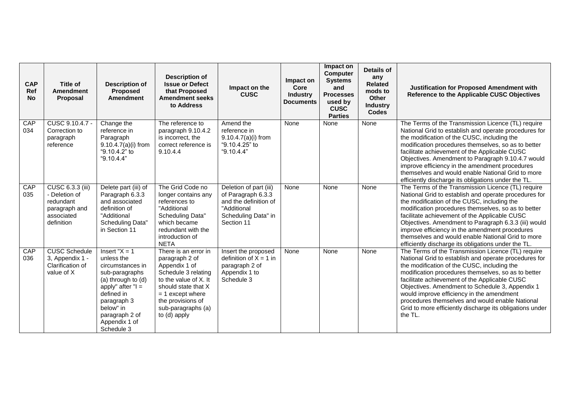| <b>CAP</b><br>Ref<br><b>No</b> | <b>Title of</b><br><b>Amendment</b><br><b>Proposal</b>                                      | <b>Description of</b><br>Proposed<br><b>Amendment</b>                                                                                                                                                         | <b>Description of</b><br><b>Issue or Defect</b><br>that Proposed<br><b>Amendment seeks</b><br>to Address                                                                                                        | Impact on the<br><b>CUSC</b>                                                                                              | Impact on<br>Core<br><b>Industry</b><br><b>Documents</b> | Impact on<br><b>Computer</b><br><b>Systems</b><br>and<br><b>Processes</b><br>used by<br><b>CUSC</b><br><b>Parties</b> | Details of<br>any<br><b>Related</b><br>mods to<br>Other<br><b>Industry</b><br><b>Codes</b> | <b>Justification for Proposed Amendment with</b><br>Reference to the Applicable CUSC Objectives                                                                                                                                                                                                                                                                                                                                                                                                                                                                                                                                                                                                                                                                                                                                                                                                                                                                                          |
|--------------------------------|---------------------------------------------------------------------------------------------|---------------------------------------------------------------------------------------------------------------------------------------------------------------------------------------------------------------|-----------------------------------------------------------------------------------------------------------------------------------------------------------------------------------------------------------------|---------------------------------------------------------------------------------------------------------------------------|----------------------------------------------------------|-----------------------------------------------------------------------------------------------------------------------|--------------------------------------------------------------------------------------------|------------------------------------------------------------------------------------------------------------------------------------------------------------------------------------------------------------------------------------------------------------------------------------------------------------------------------------------------------------------------------------------------------------------------------------------------------------------------------------------------------------------------------------------------------------------------------------------------------------------------------------------------------------------------------------------------------------------------------------------------------------------------------------------------------------------------------------------------------------------------------------------------------------------------------------------------------------------------------------------|
| CAP<br>034                     | CUSC 9.10.4.7 -<br>Correction to<br>paragraph<br>reference                                  | Change the<br>reference in<br>Paragraph<br>$9.10.4.7(a)(i)$ from<br>"9.10.4.2" to<br>"9.10.4.4"                                                                                                               | The reference to<br>paragraph 9.10.4.2<br>is incorrect, the<br>correct reference is<br>9.10.4.4                                                                                                                 | Amend the<br>reference in<br>$9.10.4.7(a)(i)$ from<br>"9.10.4.25" to<br>"9.10.4.4"                                        | None                                                     | None                                                                                                                  | None                                                                                       | The Terms of the Transmission Licence (TL) require<br>National Grid to establish and operate procedures for<br>the modification of the CUSC, including the<br>modification procedures themselves, so as to better<br>facilitate achievement of the Applicable CUSC<br>Objectives. Amendment to Paragraph 9.10.4.7 would<br>improve efficiency in the amendment procedures<br>themselves and would enable National Grid to more<br>efficiently discharge its obligations under the TL.                                                                                                                                                                                                                                                                                                                                                                                                                                                                                                    |
| CAP<br>035                     | CUSC 6.3.3 (iii)<br>- Deletion of<br>redundant<br>paragraph and<br>associated<br>definition | Delete part (iii) of<br>Paragraph 6.3.3<br>and associated<br>definition of<br>"Additional<br>Scheduling Data"<br>in Section 11                                                                                | The Grid Code no<br>longer contains any<br>references to<br>"Additional<br>Scheduling Data"<br>which became<br>redundant with the<br>introduction of<br><b>NETA</b>                                             | Deletion of part (iii)<br>of Paragraph 6.3.3<br>and the definition of<br>"Additional<br>Scheduling Data" in<br>Section 11 | None                                                     | None                                                                                                                  | None                                                                                       | The Terms of the Transmission Licence (TL) require<br>National Grid to establish and operate procedures for<br>the modification of the CUSC, including the<br>modification procedures themselves, so as to better<br>facilitate achievement of the Applicable CUSC<br>Objectives. Amendment to Paragraph 6.3.3 (iii) would<br>improve efficiency in the amendment procedures<br>themselves and would enable National Grid to more<br>efficiently discharge its obligations under the TL.<br>The Terms of the Transmission Licence (TL) require<br>National Grid to establish and operate procedures for<br>the modification of the CUSC, including the<br>modification procedures themselves, so as to better<br>facilitate achievement of the Applicable CUSC<br>Objectives. Amendment to Schedule 3, Appendix 1<br>would improve efficiency in the amendment<br>procedures themselves and would enable National<br>Grid to more efficiently discharge its obligations under<br>the TL. |
| CAP<br>036                     | <b>CUSC Schedule</b><br>3, Appendix 1 -<br>Clarification of<br>value of X                   | Insert " $X = 1$<br>unless the<br>circumstances in<br>sub-paragraphs<br>(a) through to (d)<br>apply" after " $I =$<br>defined in<br>paragraph 3<br>below" in<br>paragraph 2 of<br>Appendix 1 of<br>Schedule 3 | There is an error in<br>paragraph 2 of<br>Appendix 1 of<br>Schedule 3 relating<br>to the value of X. It<br>should state that X<br>$= 1$ except where<br>the provisions of<br>sub-paragraphs (a)<br>to (d) apply | Insert the proposed<br>definition of $X = 1$ in<br>paragraph 2 of<br>Appendix 1 to<br>Schedule 3                          | None                                                     | None                                                                                                                  | None                                                                                       |                                                                                                                                                                                                                                                                                                                                                                                                                                                                                                                                                                                                                                                                                                                                                                                                                                                                                                                                                                                          |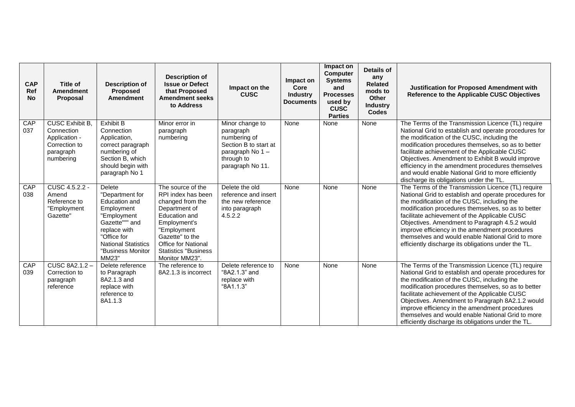| <b>CAP</b><br>Ref<br><b>No</b> | Title of<br><b>Amendment</b><br><b>Proposal</b>                                                  | <b>Description of</b><br><b>Proposed</b><br><b>Amendment</b>                                                                                                                         | <b>Description of</b><br><b>Issue or Defect</b><br>that Proposed<br><b>Amendment seeks</b><br>to Address                                                                                                                        | Impact on the<br><b>CUSC</b>                                                                                               | Impact on<br>Core<br>Industry<br><b>Documents</b> | Impact on<br><b>Computer</b><br><b>Systems</b><br>and<br><b>Processes</b><br>used by<br><b>CUSC</b><br><b>Parties</b> | <b>Details of</b><br>any<br><b>Related</b><br>mods to<br>Other<br><b>Industry</b><br><b>Codes</b> | <b>Justification for Proposed Amendment with</b><br>Reference to the Applicable CUSC Objectives                                                                                                                                                                                                                                                                                                                                                                                      |
|--------------------------------|--------------------------------------------------------------------------------------------------|--------------------------------------------------------------------------------------------------------------------------------------------------------------------------------------|---------------------------------------------------------------------------------------------------------------------------------------------------------------------------------------------------------------------------------|----------------------------------------------------------------------------------------------------------------------------|---------------------------------------------------|-----------------------------------------------------------------------------------------------------------------------|---------------------------------------------------------------------------------------------------|--------------------------------------------------------------------------------------------------------------------------------------------------------------------------------------------------------------------------------------------------------------------------------------------------------------------------------------------------------------------------------------------------------------------------------------------------------------------------------------|
| CAP<br>037                     | <b>CUSC Exhibit B.</b><br>Connection<br>Application -<br>Correction to<br>paragraph<br>numbering | <b>Exhibit B</b><br>Connection<br>Application,<br>correct paragraph<br>numbering of<br>Section B, which<br>should begin with<br>paragraph No 1                                       | Minor error in<br>paragraph<br>numbering                                                                                                                                                                                        | Minor change to<br>paragraph<br>numbering of<br>Section B to start at<br>paragraph No 1-<br>through to<br>paragraph No 11. | None                                              | None                                                                                                                  | None                                                                                              | The Terms of the Transmission Licence (TL) require<br>National Grid to establish and operate procedures for<br>the modification of the CUSC, including the<br>modification procedures themselves, so as to better<br>facilitate achievement of the Applicable CUSC<br>Objectives. Amendment to Exhibit B would improve<br>efficiency in the amendment procedures themselves<br>and would enable National Grid to more efficiently<br>discharge its obligations under the TL.         |
| CAP<br>038                     | CUSC 4.5.2.2 -<br>Amend<br>Reference to<br>"Employment<br>Gazette"                               | Delete<br>"Department for<br>Education and<br>Employment<br>"Employment<br>Gazette""" and<br>replace with<br>"Office for<br><b>National Statistics</b><br>"Business Monitor<br>MM23" | The source of the<br>RPI index has been<br>changed from the<br>Department of<br>Education and<br>Employment's<br>"Employment<br>Gazette" to the<br><b>Office for National</b><br><b>Statistics "Business"</b><br>Monitor MM23". | Delete the old<br>reference and insert<br>the new reference<br>into paragraph<br>4.5.2.2                                   | None                                              | None                                                                                                                  | None                                                                                              | The Terms of the Transmission Licence (TL) require<br>National Grid to establish and operate procedures for<br>the modification of the CUSC, including the<br>modification procedures themselves, so as to better<br>facilitate achievement of the Applicable CUSC<br>Objectives. Amendment to Paragraph 4.5.2 would<br>improve efficiency in the amendment procedures<br>themselves and would enable National Grid to more<br>efficiently discharge its obligations under the TL.   |
| CAP<br>039                     | <b>CUSC 8A2.1.2-</b><br>Correction to<br>paragraph<br>reference                                  | Delete reference<br>to Paragraph<br>8A2.1.3 and<br>replace with<br>reference to<br>8A1.1.3                                                                                           | The reference to<br>8A2.1.3 is incorrect                                                                                                                                                                                        | Delete reference to<br>"8A2.1.3" and<br>replace with<br>"8A1.1.3"                                                          | None                                              | None                                                                                                                  | None                                                                                              | The Terms of the Transmission Licence (TL) require<br>National Grid to establish and operate procedures for<br>the modification of the CUSC, including the<br>modification procedures themselves, so as to better<br>facilitate achievement of the Applicable CUSC<br>Objectives. Amendment to Paragraph 8A2.1.2 would<br>improve efficiency in the amendment procedures<br>themselves and would enable National Grid to more<br>efficiently discharge its obligations under the TL. |